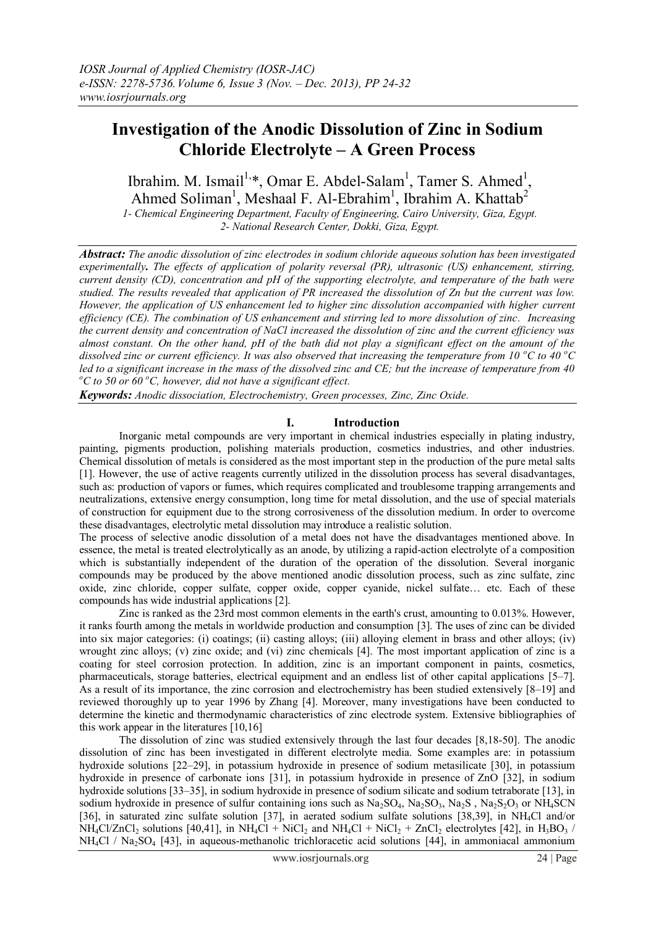# **Investigation of the Anodic Dissolution of Zinc in Sodium Chloride Electrolyte – A Green Process**

Ibrahim. M. Ismail<sup>1,\*</sup>, Omar E. Abdel-Salam<sup>1</sup>, Tamer S. Ahmed<sup>1</sup>, Ahmed Soliman<sup>1</sup>, Meshaal F. Al-Ebrahim<sup>1</sup>, Ibrahim A. Khattab<sup>2</sup> *1- Chemical Engineering Department, Faculty of Engineering, Cairo University, Giza, Egypt.*

*2- National Research Center, Dokki, Giza, Egypt.*

*Abstract: The anodic dissolution of zinc electrodes in sodium chloride aqueous solution has been investigated experimentally. The effects of application of polarity reversal (PR), ultrasonic (US) enhancement, stirring, current density (CD), concentration and pH of the supporting electrolyte, and temperature of the bath were studied. The results revealed that application of PR increased the dissolution of Zn but the current was low. However, the application of US enhancement led to higher zinc dissolution accompanied with higher current efficiency (CE). The combination of US enhancement and stirring led to more dissolution of zinc. Increasing the current density and concentration of NaCl increased the dissolution of zinc and the current efficiency was almost constant. On the other hand, pH of the bath did not play a significant effect on the amount of the dissolved zinc or current efficiency. It was also observed that increasing the temperature from 10 <sup>o</sup>C to 40 <sup>o</sup>C led to a significant increase in the mass of the dissolved zinc and CE; but the increase of temperature from 40 <sup>o</sup>C to 50 or 60 <sup>o</sup>C, however, did not have a significant effect.*

*Keywords: Anodic dissociation, Electrochemistry, Green processes, Zinc, Zinc Oxide.*

# **I. Introduction**

Inorganic metal compounds are very important in chemical industries especially in plating industry, painting, pigments production, polishing materials production, cosmetics industries, and other industries. Chemical dissolution of metals is considered as the most important step in the production of the pure metal salts [1]. However, the use of active reagents currently utilized in the dissolution process has several disadvantages, such as: production of vapors or fumes, which requires complicated and troublesome trapping arrangements and neutralizations, extensive energy consumption, long time for metal dissolution, and the use of special materials of construction for equipment due to the strong corrosiveness of the dissolution medium. In order to overcome these disadvantages, electrolytic metal dissolution may introduce a realistic solution.

The process of selective anodic dissolution of a metal does not have the disadvantages mentioned above. In essence, the metal is treated electrolytically as an anode, by utilizing a rapid-action electrolyte of a composition which is substantially independent of the duration of the operation of the dissolution. Several inorganic compounds may be produced by the above mentioned anodic dissolution process, such as zinc sulfate, zinc oxide, zinc chloride, copper sulfate, copper oxide, copper cyanide, nickel sulfate… etc. Each of these compounds has wide industrial applications [2].

Zinc is ranked as the 23rd most common elements in the earth's crust, amounting to 0.013%. However, it ranks fourth among the metals in worldwide production and consumption [3]. The uses of zinc can be divided into six major categories: (i) coatings; (ii) casting alloys; (iii) alloying element in brass and other alloys; (iv) wrought zinc alloys; (v) zinc oxide; and (vi) zinc chemicals [4]. The most important application of zinc is a coating for steel corrosion protection. In addition, zinc is an important component in paints, cosmetics, pharmaceuticals, storage batteries, electrical equipment and an endless list of other capital applications [5–7]. As a result of its importance, the zinc corrosion and electrochemistry has been studied extensively [8–19] and reviewed thoroughly up to year 1996 by Zhang [4]. Moreover, many investigations have been conducted to determine the kinetic and thermodynamic characteristics of zinc electrode system. Extensive bibliographies of this work appear in the literatures [10,16]

The dissolution of zinc was studied extensively through the last four decades [8,18-50]. The anodic dissolution of zinc has been investigated in different electrolyte media. Some examples are: in potassium hydroxide solutions [22–29], in potassium hydroxide in presence of sodium metasilicate [30], in potassium hydroxide in presence of carbonate ions [31], in potassium hydroxide in presence of ZnO [32], in sodium hydroxide solutions [33–35], in sodium hydroxide in presence of sodium silicate and sodium tetraborate [13], in sodium hydroxide in presence of sulfur containing ions such as  $Na_2SO_4$ ,  $Na_2SO_3$ ,  $Na_2SO_3$ ,  $Na_2SO_3$  or NH<sub>4</sub>SCN [36], in saturated zinc sulfate solution [37], in aerated sodium sulfate solutions [38,39], in NH4Cl and/or  $NH_4Cl/ZnCl_2$  solutions [40,41], in NH<sub>4</sub>Cl + NiCl<sub>2</sub> and NH<sub>4</sub>Cl + NiCl<sub>2</sub> + ZnCl<sub>2</sub> electrolytes [42], in H<sub>3</sub>BO<sub>3</sub> / NH<sub>4</sub>Cl / Na<sub>2</sub>SO<sub>4</sub> [43], in aqueous-methanolic trichloracetic acid solutions [44], in ammoniacal ammonium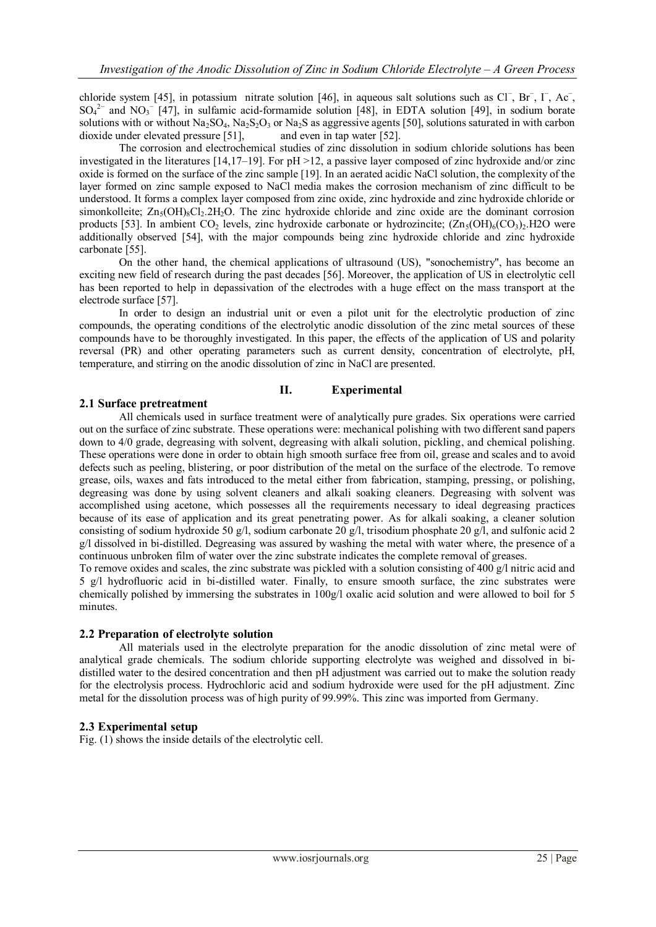chloride system [45], in potassium nitrate solution [46], in aqueous salt solutions such as Cl<sup>−</sup>, Br<sup>−</sup>, I<sup>−</sup>, Ac<sup>−</sup>,  $SO_4^2$ <sup>-</sup> and NO<sub>3</sub><sup>-</sup> [47], in sulfamic acid-formamide solution [48], in EDTA solution [49], in sodium borate solutions with or without Na<sub>2</sub>SO<sub>4</sub>, Na<sub>2</sub>S<sub>2</sub>O<sub>3</sub> or Na<sub>2</sub>S as aggressive agents [50], solutions saturated in with carbon dioxide under elevated pressure [51], and even in tap water [52].

The corrosion and electrochemical studies of zinc dissolution in sodium chloride solutions has been investigated in the literatures  $[14,17-19]$ . For  $pH > 12$ , a passive layer composed of zinc hydroxide and/or zinc oxide is formed on the surface of the zinc sample [19]. In an aerated acidic NaCl solution, the complexity of the layer formed on zinc sample exposed to NaCl media makes the corrosion mechanism of zinc difficult to be understood. It forms a complex layer composed from zinc oxide, zinc hydroxide and zinc hydroxide chloride or simonkolleite;  $Zn_5(OH)_8Cl_2.2H_2O$ . The zinc hydroxide chloride and zinc oxide are the dominant corrosion products [53]. In ambient CO<sub>2</sub> levels, zinc hydroxide carbonate or hydrozincite;  $(Zn_5(OH)_6(CO_3)_2, H2O$  were additionally observed [54], with the major compounds being zinc hydroxide chloride and zinc hydroxide carbonate [55].

On the other hand, the chemical applications of ultrasound (US), "sonochemistry", has become an exciting new field of research during the past decades [56]. Moreover, the application of US in electrolytic cell has been reported to help in depassivation of the electrodes with a huge effect on the mass transport at the electrode surface [57].

In order to design an industrial unit or even a pilot unit for the electrolytic production of zinc compounds, the operating conditions of the electrolytic anodic dissolution of the zinc metal sources of these compounds have to be thoroughly investigated. In this paper, the effects of the application of US and polarity reversal (PR) and other operating parameters such as current density, concentration of electrolyte, pH, temperature, and stirring on the anodic dissolution of zinc in NaCl are presented.

## **II. Experimental**

### **2.1 Surface pretreatment**

All chemicals used in surface treatment were of analytically pure grades. Six operations were carried out on the surface of zinc substrate. These operations were: mechanical polishing with two different sand papers down to 4/0 grade, degreasing with solvent, degreasing with alkali solution, pickling, and chemical polishing. These operations were done in order to obtain high smooth surface free from oil, grease and scales and to avoid defects such as peeling, blistering, or poor distribution of the metal on the surface of the electrode. To remove grease, oils, waxes and fats introduced to the metal either from fabrication, stamping, pressing, or polishing, degreasing was done by using solvent cleaners and alkali soaking cleaners. Degreasing with solvent was accomplished using acetone, which possesses all the requirements necessary to ideal degreasing practices because of its ease of application and its great penetrating power. As for alkali soaking, a cleaner solution consisting of sodium hydroxide 50 g/l, sodium carbonate 20 g/l, trisodium phosphate 20 g/l, and sulfonic acid 2 g/l dissolved in bi-distilled. Degreasing was assured by washing the metal with water where, the presence of a continuous unbroken film of water over the zinc substrate indicates the complete removal of greases.

To remove oxides and scales, the zinc substrate was pickled with a solution consisting of 400 g/l nitric acid and 5 g/l hydrofluoric acid in bi-distilled water. Finally, to ensure smooth surface, the zinc substrates were chemically polished by immersing the substrates in 100g/l oxalic acid solution and were allowed to boil for 5 minutes.

### **2.2 Preparation of electrolyte solution**

All materials used in the electrolyte preparation for the anodic dissolution of zinc metal were of analytical grade chemicals. The sodium chloride supporting electrolyte was weighed and dissolved in bidistilled water to the desired concentration and then pH adjustment was carried out to make the solution ready for the electrolysis process. Hydrochloric acid and sodium hydroxide were used for the pH adjustment. Zinc metal for the dissolution process was of high purity of 99.99%. This zinc was imported from Germany.

## **2.3 Experimental setup**

Fig. (1) shows the inside details of the electrolytic cell.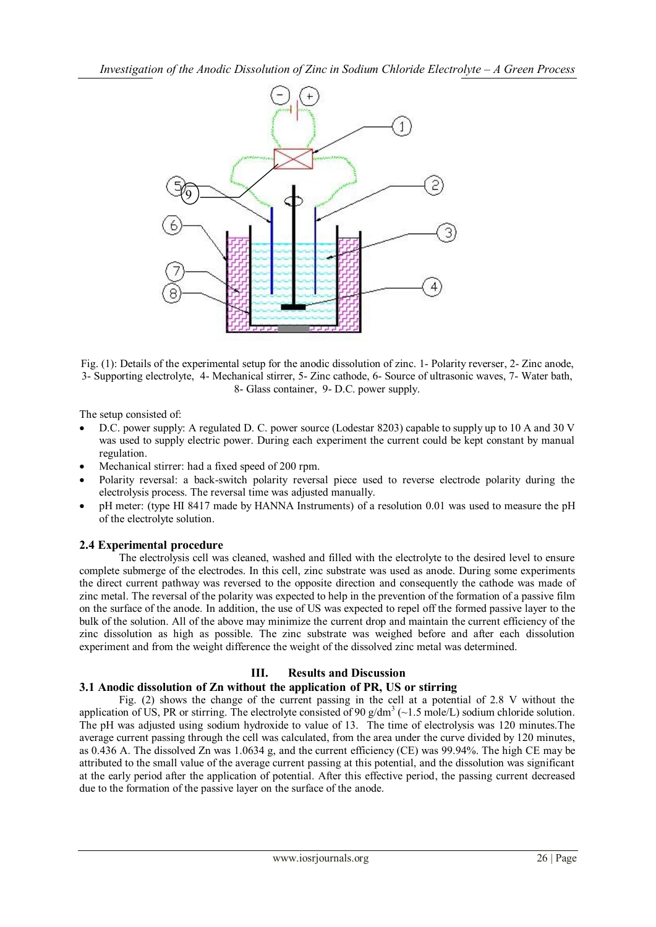

Fig. (1): Details of the experimental setup for the anodic dissolution of zinc. 1- Polarity reverser, 2- Zinc anode, 3- Supporting electrolyte, 4- Mechanical stirrer, 5- Zinc cathode, 6- Source of ultrasonic waves, 7- Water bath, 8- Glass container, 9- D.C. power supply.

The setup consisted of:

- D.C. power supply: A regulated D. C. power source (Lodestar 8203) capable to supply up to 10 A and 30 V was used to supply electric power. During each experiment the current could be kept constant by manual regulation.
- Mechanical stirrer: had a fixed speed of 200 rpm.
- Polarity reversal: a back-switch polarity reversal piece used to reverse electrode polarity during the electrolysis process. The reversal time was adjusted manually.
- pH meter: (type HI 8417 made by HANNA Instruments) of a resolution 0.01 was used to measure the pH of the electrolyte solution.

# **2.4 Experimental procedure**

The electrolysis cell was cleaned, washed and filled with the electrolyte to the desired level to ensure complete submerge of the electrodes. In this cell, zinc substrate was used as anode. During some experiments the direct current pathway was reversed to the opposite direction and consequently the cathode was made of zinc metal. The reversal of the polarity was expected to help in the prevention of the formation of a passive film on the surface of the anode. In addition, the use of US was expected to repel off the formed passive layer to the bulk of the solution. All of the above may minimize the current drop and maintain the current efficiency of the zinc dissolution as high as possible. The zinc substrate was weighed before and after each dissolution experiment and from the weight difference the weight of the dissolved zinc metal was determined.

# **III. Results and Discussion**

# **3.1 Anodic dissolution of Zn without the application of PR, US or stirring**

Fig. (2) shows the change of the current passing in the cell at a potential of 2.8 V without the application of US, PR or stirring. The electrolyte consisted of 90  $g/dm^3$  ( $\sim$ 1.5 mole/L) sodium chloride solution. The pH was adjusted using sodium hydroxide to value of 13. The time of electrolysis was 120 minutes.The average current passing through the cell was calculated, from the area under the curve divided by 120 minutes, as 0.436 A. The dissolved Zn was 1.0634 g, and the current efficiency (CE) was 99.94%. The high CE may be attributed to the small value of the average current passing at this potential, and the dissolution was significant at the early period after the application of potential. After this effective period, the passing current decreased due to the formation of the passive layer on the surface of the anode.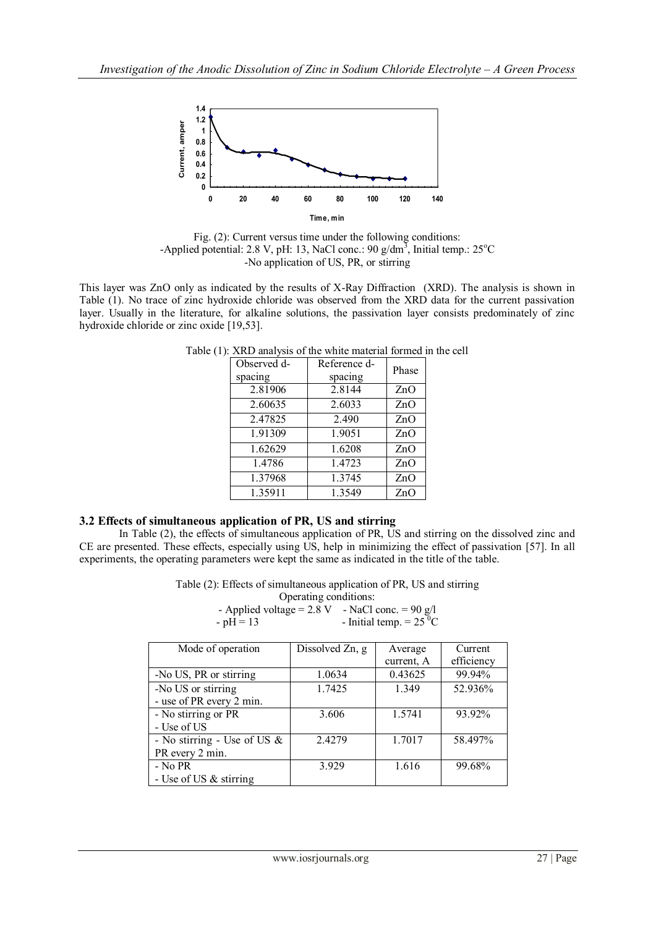

Fig. (2): Current versus time under the following conditions: -Applied potential: 2.8 V, pH: 13, NaCl conc.: 90  $g/dm<sup>3</sup>$ , Initial temp.: 25<sup>o</sup>C No application of U.S., **D.** -No application of US, PR, or stirring

This layer was ZnO only as indicated by the results of X-Ray Diffraction (XRD). The analysis is shown in Table (1). No trace of zinc hydroxide chloride was observed from the XRD data for the current passivation layer. Usually in the literature, for alkaline solutions, the passivation layer consists predominately of zinc hydroxide chloride or zinc oxide [19,53].

| Observed d- | Reference d- | Phase |  |
|-------------|--------------|-------|--|
| spacing     | spacing      |       |  |
| 2.81906     | 2.8144       | ZnO   |  |
| 2.60635     | 2.6033       | ZnO   |  |
| 2.47825     | 2.490        | ZnO   |  |
| 1.91309     | 1.9051       | ZnO   |  |
| 1.62629     | 1.6208       | ZnO   |  |
| 1.4786      | 1.4723       | ZnO   |  |
| 1.37968     | 1.3745       | ZnO   |  |
| 1.35911     | 1.3549       | ZnO   |  |

Table (1): XRD analysis of the white material formed in the cell

# **3.2 Effects of simultaneous application of PR, US and stirring**

In Table (2), the effects of simultaneous application of PR, US and stirring on the dissolved zinc and CE are presented. These effects, especially using US, help in minimizing the effect of passivation [57]. In all experiments, the operating parameters were kept the same as indicated in the title of the table.

Table (2): Effects of simultaneous application of PR, US and stirring

Operating conditions: - Applied voltage =  $2.8 \text{ V}$  - NaCl conc. =  $90 \text{ g/l}$ <br>-  $pH = 13$  - Initial temp =  $25 \text{ }^{\circ}\text{C}$ - Initial temp.  $= 25$ <sup>T</sup>C

| Mode of operation              | Dissolved Zn, g | Average    | Current    |
|--------------------------------|-----------------|------------|------------|
|                                |                 | current, A | efficiency |
| -No US, PR or stirring         | 1.0634          | 0.43625    | 99.94%     |
| -No US or stirring             | 1.7425          | 1.349      | 52.936%    |
| - use of PR every 2 min.       |                 |            |            |
| - No stirring or PR            | 3.606           | 1.5741     | 93.92%     |
| - Use of US                    |                 |            |            |
| - No stirring - Use of US $\&$ | 2.4279          | 1.7017     | 58.497%    |
| PR every 2 min.                |                 |            |            |
| - No PR                        | 3.929           | 1.616      | 99.68%     |
| - Use of US $&$ stirring       |                 |            |            |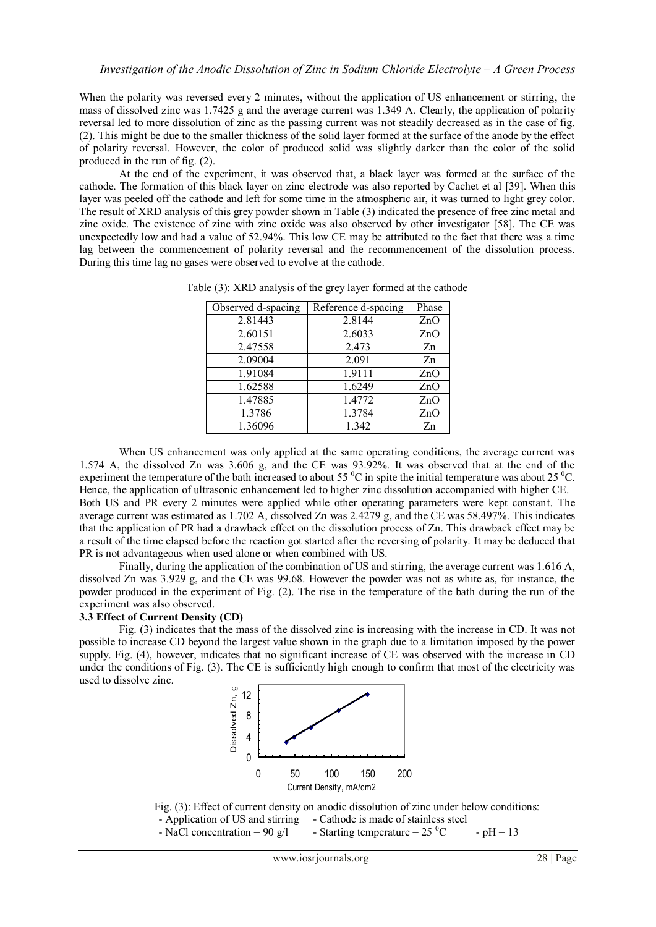When the polarity was reversed every 2 minutes, without the application of US enhancement or stirring, the mass of dissolved zinc was 1.7425 g and the average current was 1.349 A. Clearly, the application of polarity reversal led to more dissolution of zinc as the passing current was not steadily decreased as in the case of fig. (2). This might be due to the smaller thickness of the solid layer formed at the surface of the anode by the effect of polarity reversal. However, the color of produced solid was slightly darker than the color of the solid produced in the run of fig. (2).

At the end of the experiment, it was observed that, a black layer was formed at the surface of the cathode. The formation of this black layer on zinc electrode was also reported by Cachet et al [39]. When this layer was peeled off the cathode and left for some time in the atmospheric air, it was turned to light grey color. The result of XRD analysis of this grey powder shown in Table (3) indicated the presence of free zinc metal and zinc oxide. The existence of zinc with zinc oxide was also observed by other investigator [58]. The CE was unexpectedly low and had a value of 52.94%. This low CE may be attributed to the fact that there was a time lag between the commencement of polarity reversal and the recommencement of the dissolution process. During this time lag no gases were observed to evolve at the cathode.

| Observed d-spacing | Reference d-spacing | Phase          |
|--------------------|---------------------|----------------|
| 2.81443            | 2.8144              | ZnO            |
| 2.60151            | 2.6033              | ZnO            |
| 2.47558            | 2.473               | Zn             |
| 2.09004            | 2.091               | Zn             |
| 1.91084            | 1.9111              | ZnO            |
| 1.62588            | 1.6249              | ZnO            |
| 1.47885            | 1.4772              | ZnO            |
| 1.3786             | 1.3784              | ZnO            |
| 1.36096            | 1.342               | Z <sub>n</sub> |

Table (3): XRD analysis of the grey layer formed at the cathode

When US enhancement was only applied at the same operating conditions, the average current was 1.574 A, the dissolved Zn was 3.606 g, and the CE was 93.92%. It was observed that at the end of the experiment the temperature of the bath increased to about 55  $\rm{^0C}$  in spite the initial temperature was about 25  $\rm{^0C}$ . Hence, the application of ultrasonic enhancement led to higher zinc dissolution accompanied with higher CE. Both US and PR every 2 minutes were applied while other operating parameters were kept constant. The average current was estimated as 1.702 A, dissolved Zn was 2.4279 g, and the CE was 58.497%. This indicates that the application of PR had a drawback effect on the dissolution process of Zn. This drawback effect may be a result of the time elapsed before the reaction got started after the reversing of polarity. It may be deduced that PR is not advantageous when used alone or when combined with US.

Finally, during the application of the combination of US and stirring, the average current was 1.616 A, dissolved Zn was 3.929 g, and the CE was 99.68. However the powder was not as white as, for instance, the powder produced in the experiment of Fig. (2). The rise in the temperature of the bath during the run of the experiment was also observed.

### **3.3 Effect of Current Density (CD)**

Fig. (3) indicates that the mass of the dissolved zinc is increasing with the increase in CD. It was not possible to increase CD beyond the largest value shown in the graph due to a limitation imposed by the power supply. Fig. (4), however, indicates that no significant increase of CE was observed with the increase in CD under the conditions of Fig. (3). The CE is sufficiently high enough to confirm that most of the electricity was used to dissolve zinc.



Fig. (3): Effect of current density on anodic dissolution of zinc under below conditions:

- Application of US and stirring - Cathode is made of stainless steel

- NaCl concentration = 90 g/l - Starting temperature =  $25 \,^0C$  - pH = 13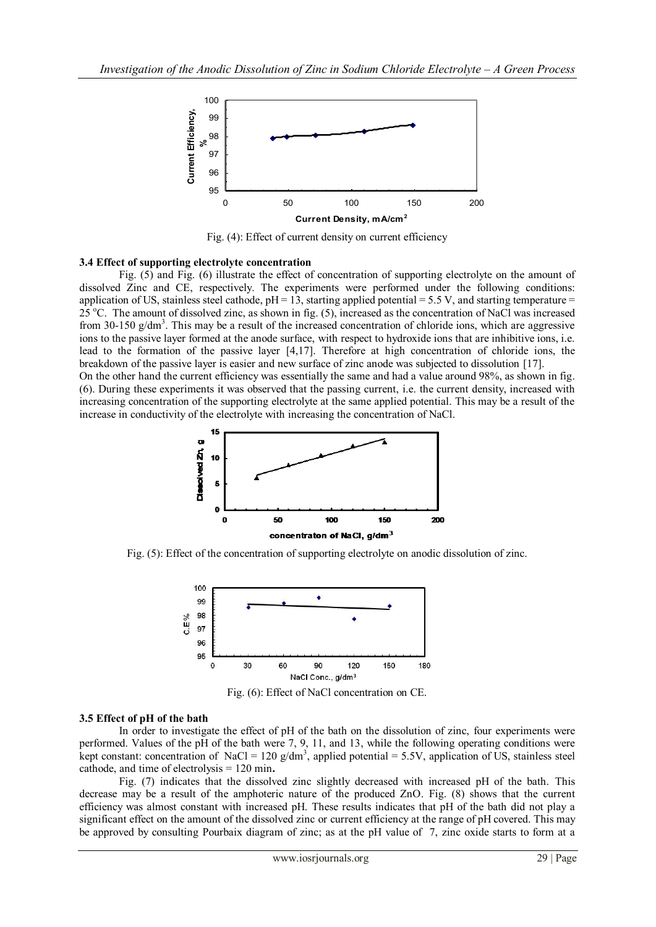

Fig. (4): Effect of current density on current efficiency

#### **- Application of U.S. and stirring - Ph = 13** 3.4 Effect of supporting electrolyte concentration

Fig. (5) and Fig. (6) illustrate the effect of concentration of supporting electrolyte on the amount of dissolved Zinc and CE, respectively. The experiments were performed under the following conditions: application of US, stainless steel cathode,  $pH = 13$ , starting applied potential = 5.5 V, and starting temperature = 25 °C. The amount of dissolved zinc, as shown in fig. (5), increased as the concentration of NaCl was increased from 30-150 g/dm<sup>3</sup>. This may be a result of the increased concentration of chloride ions, which are aggressive ions to the passive layer formed at the anode surface, with respect to hydroxide ions that are inhibitive ions, i.e. lead to the formation of the passive layer [4,17]. Therefore at high concentration of chloride ions, the breakdown of the passive layer is easier and new surface of zinc anode was subjected to dissolution [17]. On the other hand the current efficiency was essentially the same and had a value around 98%, as shown in fig. (6). During these experiments it was observed that the passing current, i.e. the current density, increased with increasing concentration of the supporting electrolyte at the same applied potential. This may be a result of the increase in conductivity of the electrolyte with increasing the concentration of NaCl.



Fig. (5): Effect of the concentration of supporting electrolyte on anodic dissolution of zinc.



Fig. (6): Effect of NaCl concentration on CE.

### **3.5 Effect of pH of the bath**

In order to investigate the effect of pH of the bath on the dissolution of zinc, four experiments were performed. Values of the pH of the bath were 7, 9, 11, and 13, while the following operating conditions were kept constant: concentration of NaCl = 120 g/dm<sup>3</sup>, applied potential = 5.5V, application of US, stainless steel cathode, and time of electrolysis = 120 min**.**

Fig. (7) indicates that the dissolved zinc slightly decreased with increased pH of the bath. This decrease may be a result of the amphoteric nature of the produced ZnO. Fig. (8) shows that the current efficiency was almost constant with increased pH. These results indicates that pH of the bath did not play a significant effect on the amount of the dissolved zinc or current efficiency at the range of pH covered. This may be approved by consulting Pourbaix diagram of zinc; as at the pH value of 7, zinc oxide starts to form at a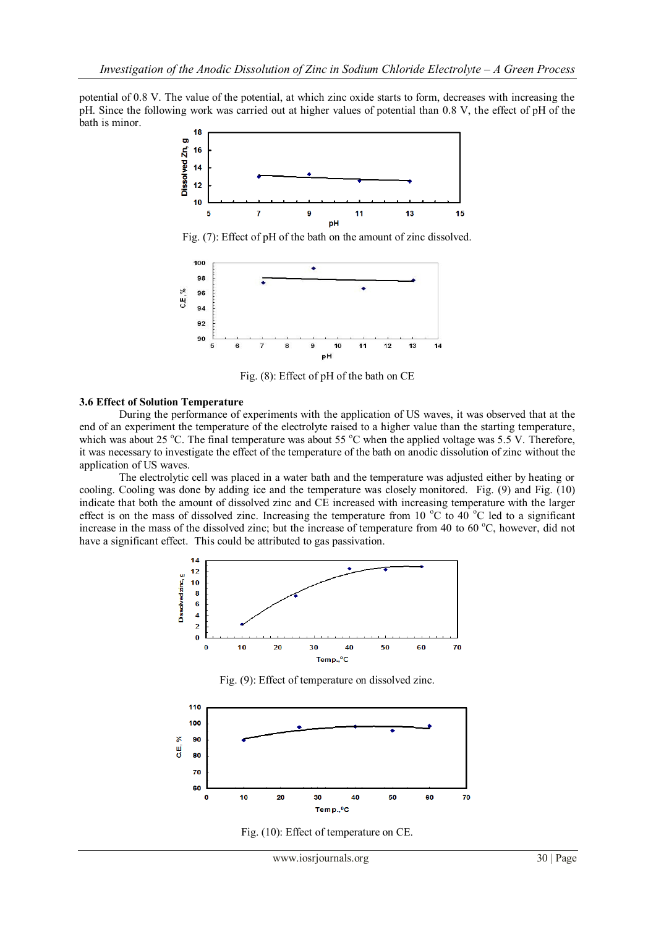potential of 0.8 V. The value of the potential, at which zinc oxide starts to form, decreases with increasing the pH. Since the following work was carried out at higher values of potential than 0.8 V, the effect of pH of the bath is minor.



Fig. (7): Effect of pH of the bath on the amount of zinc dissolved.



Fig. (8): Effect of pH of the bath on CE

#### **3.6 Effect of Solution Temperature**

During the performance of experiments with the application of US waves, it was observed that at the end of an experiment the temperature of the electrolyte raised to a higher value than the starting temperature, which was about 25 °C. The final temperature was about 55 °C when the applied voltage was 5.5 V. Therefore, it was necessary to investigate the effect of the temperature of the bath on anodic dissolution of zinc without the application of US waves.

The electrolytic cell was placed in a water bath and the temperature was adjusted either by heating or cooling. Cooling was done by adding ice and the temperature was closely monitored. Fig. (9) and Fig. (10) indicate that both the amount of dissolved zinc and CE increased with increasing temperature with the larger effect is on the mass of dissolved zinc. Increasing the temperature from 10  $\degree$ C to 40  $\degree$ C led to a significant increase in the mass of the dissolved zinc; but the increase of temperature from 40 to 60  $^{\circ}$ C, however, did not have a significant effect. This could be attributed to gas passivation.



Fig. (9): Effect of temperature on dissolved zinc.



Fig. (10): Effect of temperature on CE.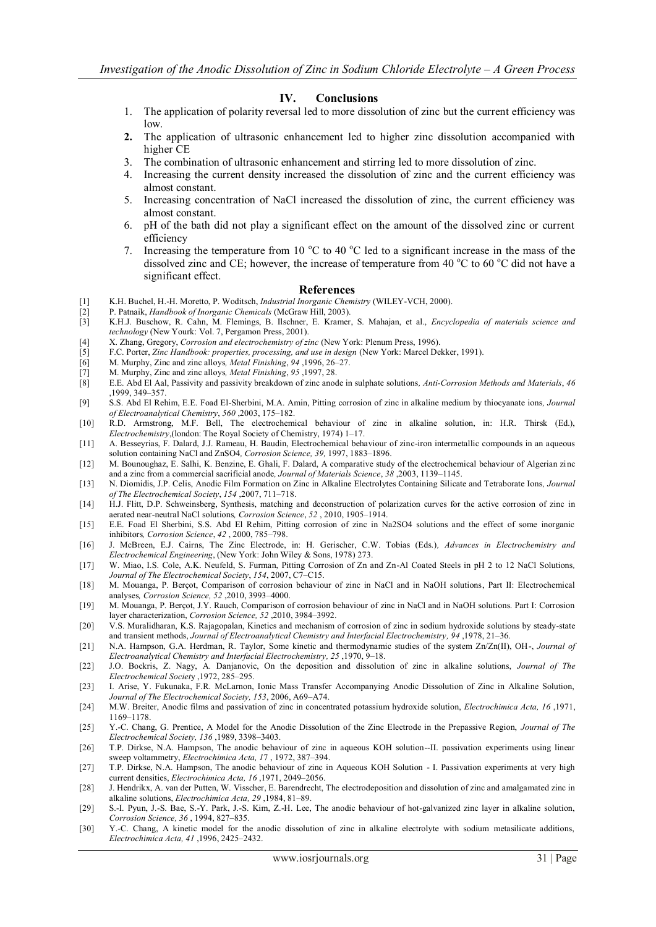#### **IV. Conclusions**

- 1. The application of polarity reversal led to more dissolution of zinc but the current efficiency was low.
- **2.** The application of ultrasonic enhancement led to higher zinc dissolution accompanied with higher CE
- 3. The combination of ultrasonic enhancement and stirring led to more dissolution of zinc.
- 4. Increasing the current density increased the dissolution of zinc and the current efficiency was almost constant.
- 5. Increasing concentration of NaCl increased the dissolution of zinc, the current efficiency was almost constant.
- 6. pH of the bath did not play a significant effect on the amount of the dissolved zinc or current efficiency
- 7. Increasing the temperature from 10  $^{\circ}$ C to 40  $^{\circ}$ C led to a significant increase in the mass of the dissolved zinc and CE; however, the increase of temperature from 40  $\degree$ C to 60  $\degree$ C did not have a significant effect.

#### **References**

- [1] K.H. Buchel, H.-H. Moretto, P. Woditsch, *Industrial Inorganic Chemistry* (WILEY-VCH, 2000).
- [2] P. Patnaik, *Handbook of Inorganic Chemicals* (McGraw Hill, 2003).
- [3] K.H.J. Buschow, R. Cahn, M. Flemings, B. Ilschner, E. Kramer, S. Mahajan, et al., *Encyclopedia of materials science and technology* (New Yourk: Vol. 7, Pergamon Press, 2001).
- [4] X. Zhang, Gregory, *Corrosion and electrochemistry of zinc* (New York: Plenum Press, 1996).
- [5] F.C. Porter, *Zinc Handbook: properties, processing, and use in design* (New York: Marcel Dekker, 1991).
- [6] M. Murphy, Zinc and zinc alloys*, Metal Finishing*, *94* ,1996, 26–27.
- [7] M. Murphy, Zinc and zinc alloys*, Metal Finishing*, *95* ,1997, 28.
- [8] E.E. Abd El Aal, Passivity and passivity breakdown of zinc anode in sulphate solutions*, Anti-Corrosion Methods and Materials*, *46* ,1999, 349–357.
- [9] S.S. Abd El Rehim, E.E. Foad El-Sherbini, M.A. Amin, Pitting corrosion of zinc in alkaline medium by thiocyanate ions*, Journal of Electroanalytical Chemistry*, *560* ,2003, 175–182.
- [10] R.D. Armstrong, M.F. Bell, The electrochemical behaviour of zinc in alkaline solution, in: H.R. Thirsk (Ed.), *Electrochemistry*,(london: The Royal Society of Chemistry, 1974) 1–17.
- [11] A. Besseyrias, F. Dalard, J.J. Rameau, H. Baudin, Electrochemical behaviour of zinc-iron intermetallic compounds in an aqueous solution containing NaCl and ZnSO4*, Corrosion Science, 39,* 1997, 1883–1896.
- [12] M. Bounoughaz, E. Salhi, K. Benzine, E. Ghali, F. Dalard, A comparative study of the electrochemical behaviour of Algerian zinc and a zinc from a commercial sacrificial anode*, Journal of Materials Science*, *38* ,2003, 1139–1145.
- [13] N. Diomidis, J.P. Celis, Anodic Film Formation on Zinc in Alkaline Electrolytes Containing Silicate and Tetraborate Ions*, Journal of The Electrochemical Society*, *154* ,2007, 711–718.
- [14] H.J. Flitt, D.P. Schweinsberg, Synthesis, matching and deconstruction of polarization curves for the active corrosion of zinc in aerated near-neutral NaCl solutions*, Corrosion Science*, *52* , 2010, 1905–1914.
- [15] E.E. Foad El Sherbini, S.S. Abd El Rehim, Pitting corrosion of zinc in Na2SO4 solutions and the effect of some inorganic inhibitors*, Corrosion Science*, *42* , 2000, 785–798.
- [16] J. McBreen, E.J. Cairns, The Zinc Electrode, in: H. Gerischer, C.W. Tobias (Eds.)*, Advances in Electrochemistry and Electrochemical Engineering*, (New York: John Wiley & Sons, 1978) 273.
- [17] W. Miao, I.S. Cole, A.K. Neufeld, S. Furman, Pitting Corrosion of Zn and Zn-Al Coated Steels in pH 2 to 12 NaCl Solutions*, Journal of The Electrochemical Society*, *154*, 2007, C7–C15.
- [18] M. Mouanga, P. Berçot, Comparison of corrosion behaviour of zinc in NaCl and in NaOH solutions, Part II: Electrochemical analyses*, Corrosion Science, 52* ,2010, 3993–4000.
- [19] M. Mouanga, P. Berçot, J.Y. Rauch, Comparison of corrosion behaviour of zinc in NaCl and in NaOH solutions. Part I: Corrosion layer characterization, *Corrosion Science, 52* ,2010, 3984–3992.
- [20] V.S. Muralidharan, K.S. Rajagopalan, Kinetics and mechanism of corrosion of zinc in sodium hydroxide solutions by steady-state and transient methods, *Journal of Electroanalytical Chemistry and Interfacial Electrochemistry, 94* ,1978, 21–36.
- [21] N.A. Hampson, G.A. Herdman, R. Taylor, Some kinetic and thermodynamic studies of the system Zn/Zn(II), OH-, *Journal of Electroanalytical Chemistry and Interfacial Electrochemistry, 25* ,1970, 9–18.
- [22] J.O. Bockris, Z. Nagy, A. Danjanovic, On the deposition and dissolution of zinc in alkaline solutions, *Journal of The Electrochemical Societ*y ,1972, 285–295.
- [23] I. Arise, Y. Fukunaka, F.R. McLarnon, Ionic Mass Transfer Accompanying Anodic Dissolution of Zinc in Alkaline Solution, *Journal of The Electrochemical Society, 153*, 2006, A69–A74.
- [24] M.W. Breiter, Anodic films and passivation of zinc in concentrated potassium hydroxide solution, *Electrochimica Acta, 16* ,1971, 1169–1178.
- [25] Y.-C. Chang, G. Prentice, A Model for the Anodic Dissolution of the Zinc Electrode in the Prepassive Region, *Journal of The Electrochemical Society, 136* ,1989, 3398–3403.
- [26] T.P. Dirkse, N.A. Hampson, The anodic behaviour of zinc in aqueous KOH solution--II. passivation experiments using linear sweep voltammetry, *Electrochimica Acta, 1*7 , 1972, 387–394.
- [27] T.P. Dirkse, N.A. Hampson, The anodic behaviour of zinc in Aqueous KOH Solution I. Passivation experiments at very high current densities, *Electrochimica Acta, 16* ,1971, 2049–2056.
- [28] J. Hendrikx, A. van der Putten, W. Visscher, E. Barendrecht, The electrodeposition and dissolution of zinc and amalgamated zinc in alkaline solutions, *Electrochimica Acta, 29* ,1984, 81–89.
- [29] S.-I. Pyun, J.-S. Bae, S.-Y. Park, J.-S. Kim, Z.-H. Lee, The anodic behaviour of hot-galvanized zinc layer in alkaline solution, *Corrosion Science, 36* , 1994, 827–835.
- [30] Y.-C. Chang, A kinetic model for the anodic dissolution of zinc in alkaline electrolyte with sodium metasilicate additions, *Electrochimica Acta, 41* ,1996, 2425–2432.